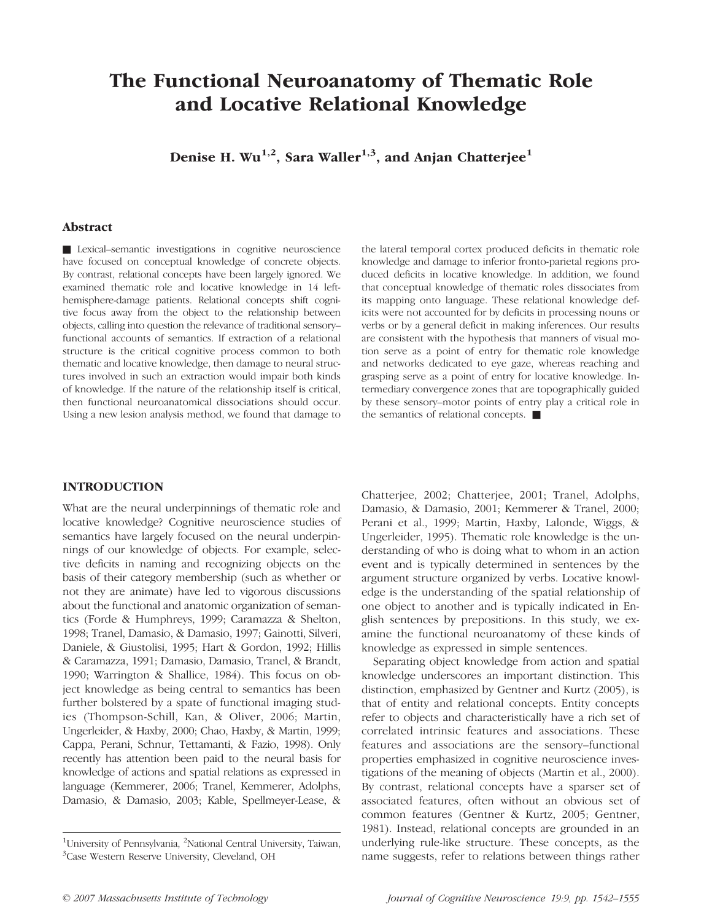# The Functional Neuroanatomy of Thematic Role and Locative Relational Knowledge

Denise H. Wu<sup>1,2</sup>, Sara Waller<sup>1,3</sup>, and Anjan Chatterjee<sup>1</sup>

#### Abstract

■ Lexical–semantic investigations in cognitive neuroscience have focused on conceptual knowledge of concrete objects. By contrast, relational concepts have been largely ignored. We examined thematic role and locative knowledge in 14 lefthemisphere-damage patients. Relational concepts shift cognitive focus away from the object to the relationship between objects, calling into question the relevance of traditional sensory– functional accounts of semantics. If extraction of a relational structure is the critical cognitive process common to both thematic and locative knowledge, then damage to neural structures involved in such an extraction would impair both kinds of knowledge. If the nature of the relationship itself is critical, then functional neuroanatomical dissociations should occur. Using a new lesion analysis method, we found that damage to

the lateral temporal cortex produced deficits in thematic role knowledge and damage to inferior fronto-parietal regions produced deficits in locative knowledge. In addition, we found that conceptual knowledge of thematic roles dissociates from its mapping onto language. These relational knowledge deficits were not accounted for by deficits in processing nouns or verbs or by a general deficit in making inferences. Our results are consistent with the hypothesis that manners of visual motion serve as a point of entry for thematic role knowledge and networks dedicated to eye gaze, whereas reaching and grasping serve as a point of entry for locative knowledge. Intermediary convergence zones that are topographically guided by these sensory–motor points of entry play a critical role in the semantics of relational concepts.  $\blacksquare$ 

## INTRODUCTION

What are the neural underpinnings of thematic role and locative knowledge? Cognitive neuroscience studies of semantics have largely focused on the neural underpinnings of our knowledge of objects. For example, selective deficits in naming and recognizing objects on the basis of their category membership (such as whether or not they are animate) have led to vigorous discussions about the functional and anatomic organization of semantics (Forde & Humphreys, 1999; Caramazza & Shelton, 1998; Tranel, Damasio, & Damasio, 1997; Gainotti, Silveri, Daniele, & Giustolisi, 1995; Hart & Gordon, 1992; Hillis & Caramazza, 1991; Damasio, Damasio, Tranel, & Brandt, 1990; Warrington & Shallice, 1984). This focus on object knowledge as being central to semantics has been further bolstered by a spate of functional imaging studies (Thompson-Schill, Kan, & Oliver, 2006; Martin, Ungerleider, & Haxby, 2000; Chao, Haxby, & Martin, 1999; Cappa, Perani, Schnur, Tettamanti, & Fazio, 1998). Only recently has attention been paid to the neural basis for knowledge of actions and spatial relations as expressed in language (Kemmerer, 2006; Tranel, Kemmerer, Adolphs, Damasio, & Damasio, 2003; Kable, Spellmeyer-Lease, &

Chatterjee, 2002; Chatterjee, 2001; Tranel, Adolphs, Damasio, & Damasio, 2001; Kemmerer & Tranel, 2000; Perani et al., 1999; Martin, Haxby, Lalonde, Wiggs, & Ungerleider, 1995). Thematic role knowledge is the understanding of who is doing what to whom in an action event and is typically determined in sentences by the argument structure organized by verbs. Locative knowledge is the understanding of the spatial relationship of one object to another and is typically indicated in English sentences by prepositions. In this study, we examine the functional neuroanatomy of these kinds of knowledge as expressed in simple sentences.

Separating object knowledge from action and spatial knowledge underscores an important distinction. This distinction, emphasized by Gentner and Kurtz (2005), is that of entity and relational concepts. Entity concepts refer to objects and characteristically have a rich set of correlated intrinsic features and associations. These features and associations are the sensory–functional properties emphasized in cognitive neuroscience investigations of the meaning of objects (Martin et al., 2000). By contrast, relational concepts have a sparser set of associated features, often without an obvious set of common features (Gentner & Kurtz, 2005; Gentner, 1981). Instead, relational concepts are grounded in an underlying rule-like structure. These concepts, as the name suggests, refer to relations between things rather

<sup>&</sup>lt;sup>1</sup>University of Pennsylvania, <sup>2</sup>National Central University, Taiwan,  $\frac{3C_{\text{QCGR}}}{\text{QCGR}}$  Western Pecerus University, Clausland, OH <sup>3</sup>Case Western Reserve University, Cleveland, OH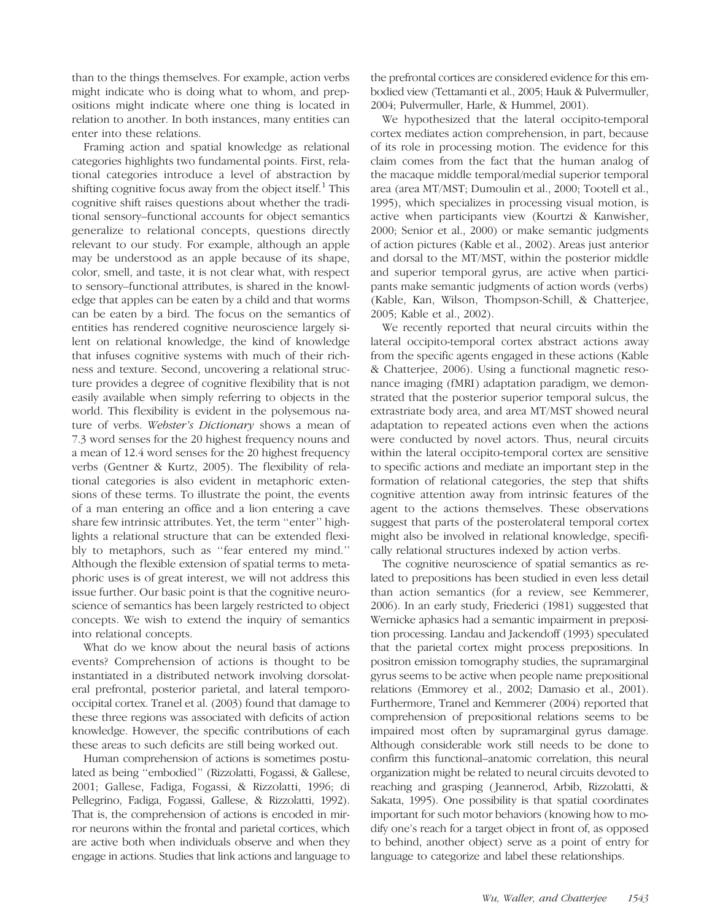than to the things themselves. For example, action verbs might indicate who is doing what to whom, and prepositions might indicate where one thing is located in relation to another. In both instances, many entities can enter into these relations.

Framing action and spatial knowledge as relational categories highlights two fundamental points. First, relational categories introduce a level of abstraction by shifting cognitive focus away from the object itself. $<sup>1</sup>$  This</sup> cognitive shift raises questions about whether the traditional sensory–functional accounts for object semantics generalize to relational concepts, questions directly relevant to our study. For example, although an apple may be understood as an apple because of its shape, color, smell, and taste, it is not clear what, with respect to sensory–functional attributes, is shared in the knowledge that apples can be eaten by a child and that worms can be eaten by a bird. The focus on the semantics of entities has rendered cognitive neuroscience largely silent on relational knowledge, the kind of knowledge that infuses cognitive systems with much of their richness and texture. Second, uncovering a relational structure provides a degree of cognitive flexibility that is not easily available when simply referring to objects in the world. This flexibility is evident in the polysemous nature of verbs. Webster's Dictionary shows a mean of 7.3 word senses for the 20 highest frequency nouns and a mean of 12.4 word senses for the 20 highest frequency verbs (Gentner & Kurtz, 2005). The flexibility of relational categories is also evident in metaphoric extensions of these terms. To illustrate the point, the events of a man entering an office and a lion entering a cave share few intrinsic attributes. Yet, the term ''enter'' highlights a relational structure that can be extended flexibly to metaphors, such as ''fear entered my mind.'' Although the flexible extension of spatial terms to metaphoric uses is of great interest, we will not address this issue further. Our basic point is that the cognitive neuroscience of semantics has been largely restricted to object concepts. We wish to extend the inquiry of semantics into relational concepts.

What do we know about the neural basis of actions events? Comprehension of actions is thought to be instantiated in a distributed network involving dorsolateral prefrontal, posterior parietal, and lateral temporooccipital cortex. Tranel et al. (2003) found that damage to these three regions was associated with deficits of action knowledge. However, the specific contributions of each these areas to such deficits are still being worked out.

Human comprehension of actions is sometimes postulated as being ''embodied'' (Rizzolatti, Fogassi, & Gallese, 2001; Gallese, Fadiga, Fogassi, & Rizzolatti, 1996; di Pellegrino, Fadiga, Fogassi, Gallese, & Rizzolatti, 1992). That is, the comprehension of actions is encoded in mirror neurons within the frontal and parietal cortices, which are active both when individuals observe and when they engage in actions. Studies that link actions and language to the prefrontal cortices are considered evidence for this embodied view (Tettamanti et al., 2005; Hauk & Pulvermuller, 2004; Pulvermuller, Harle, & Hummel, 2001).

We hypothesized that the lateral occipito-temporal cortex mediates action comprehension, in part, because of its role in processing motion. The evidence for this claim comes from the fact that the human analog of the macaque middle temporal/medial superior temporal area (area MT/MST; Dumoulin et al., 2000; Tootell et al., 1995), which specializes in processing visual motion, is active when participants view (Kourtzi & Kanwisher, 2000; Senior et al., 2000) or make semantic judgments of action pictures (Kable et al., 2002). Areas just anterior and dorsal to the MT/MST, within the posterior middle and superior temporal gyrus, are active when participants make semantic judgments of action words (verbs) (Kable, Kan, Wilson, Thompson-Schill, & Chatterjee, 2005; Kable et al., 2002).

We recently reported that neural circuits within the lateral occipito-temporal cortex abstract actions away from the specific agents engaged in these actions (Kable & Chatterjee, 2006). Using a functional magnetic resonance imaging (fMRI) adaptation paradigm, we demonstrated that the posterior superior temporal sulcus, the extrastriate body area, and area MT/MST showed neural adaptation to repeated actions even when the actions were conducted by novel actors. Thus, neural circuits within the lateral occipito-temporal cortex are sensitive to specific actions and mediate an important step in the formation of relational categories, the step that shifts cognitive attention away from intrinsic features of the agent to the actions themselves. These observations suggest that parts of the posterolateral temporal cortex might also be involved in relational knowledge, specifically relational structures indexed by action verbs.

The cognitive neuroscience of spatial semantics as related to prepositions has been studied in even less detail than action semantics (for a review, see Kemmerer, 2006). In an early study, Friederici (1981) suggested that Wernicke aphasics had a semantic impairment in preposition processing. Landau and Jackendoff (1993) speculated that the parietal cortex might process prepositions. In positron emission tomography studies, the supramarginal gyrus seems to be active when people name prepositional relations (Emmorey et al., 2002; Damasio et al., 2001). Furthermore, Tranel and Kemmerer (2004) reported that comprehension of prepositional relations seems to be impaired most often by supramarginal gyrus damage. Although considerable work still needs to be done to confirm this functional–anatomic correlation, this neural organization might be related to neural circuits devoted to reaching and grasping ( Jeannerod, Arbib, Rizzolatti, & Sakata, 1995). One possibility is that spatial coordinates important for such motor behaviors (knowing how to modify one's reach for a target object in front of, as opposed to behind, another object) serve as a point of entry for language to categorize and label these relationships.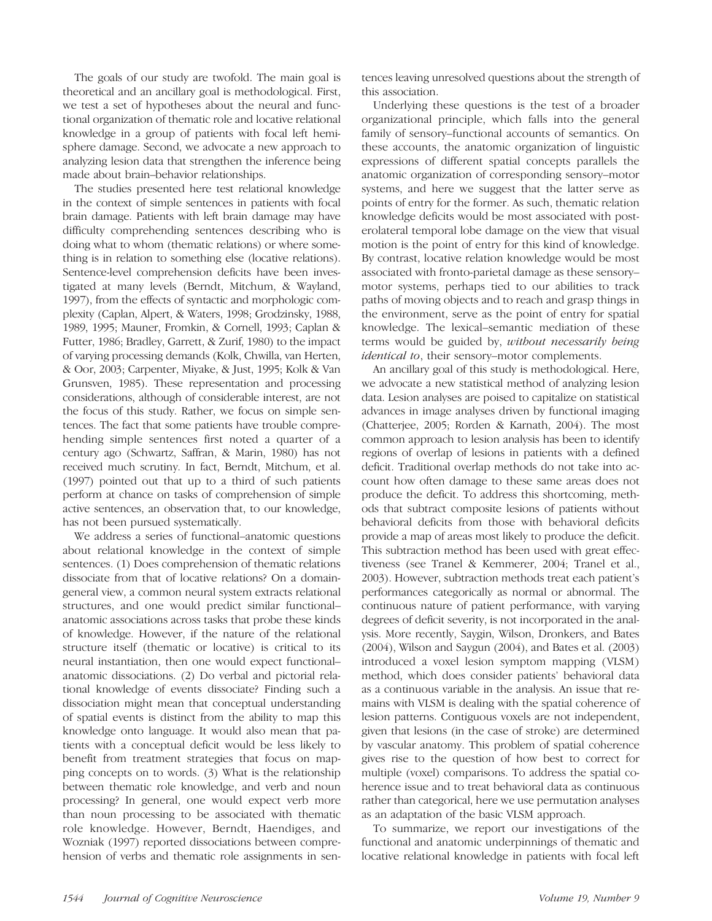The goals of our study are twofold. The main goal is theoretical and an ancillary goal is methodological. First, we test a set of hypotheses about the neural and functional organization of thematic role and locative relational knowledge in a group of patients with focal left hemisphere damage. Second, we advocate a new approach to analyzing lesion data that strengthen the inference being made about brain–behavior relationships.

The studies presented here test relational knowledge in the context of simple sentences in patients with focal brain damage. Patients with left brain damage may have difficulty comprehending sentences describing who is doing what to whom (thematic relations) or where something is in relation to something else (locative relations). Sentence-level comprehension deficits have been investigated at many levels (Berndt, Mitchum, & Wayland, 1997), from the effects of syntactic and morphologic complexity (Caplan, Alpert, & Waters, 1998; Grodzinsky, 1988, 1989, 1995; Mauner, Fromkin, & Cornell, 1993; Caplan & Futter, 1986; Bradley, Garrett, & Zurif, 1980) to the impact of varying processing demands (Kolk, Chwilla, van Herten, & Oor, 2003; Carpenter, Miyake, & Just, 1995; Kolk & Van Grunsven, 1985). These representation and processing considerations, although of considerable interest, are not the focus of this study. Rather, we focus on simple sentences. The fact that some patients have trouble comprehending simple sentences first noted a quarter of a century ago (Schwartz, Saffran, & Marin, 1980) has not received much scrutiny. In fact, Berndt, Mitchum, et al. (1997) pointed out that up to a third of such patients perform at chance on tasks of comprehension of simple active sentences, an observation that, to our knowledge, has not been pursued systematically.

We address a series of functional–anatomic questions about relational knowledge in the context of simple sentences. (1) Does comprehension of thematic relations dissociate from that of locative relations? On a domaingeneral view, a common neural system extracts relational structures, and one would predict similar functional– anatomic associations across tasks that probe these kinds of knowledge. However, if the nature of the relational structure itself (thematic or locative) is critical to its neural instantiation, then one would expect functional– anatomic dissociations. (2) Do verbal and pictorial relational knowledge of events dissociate? Finding such a dissociation might mean that conceptual understanding of spatial events is distinct from the ability to map this knowledge onto language. It would also mean that patients with a conceptual deficit would be less likely to benefit from treatment strategies that focus on mapping concepts on to words. (3) What is the relationship between thematic role knowledge, and verb and noun processing? In general, one would expect verb more than noun processing to be associated with thematic role knowledge. However, Berndt, Haendiges, and Wozniak (1997) reported dissociations between comprehension of verbs and thematic role assignments in sentences leaving unresolved questions about the strength of this association.

Underlying these questions is the test of a broader organizational principle, which falls into the general family of sensory–functional accounts of semantics. On these accounts, the anatomic organization of linguistic expressions of different spatial concepts parallels the anatomic organization of corresponding sensory–motor systems, and here we suggest that the latter serve as points of entry for the former. As such, thematic relation knowledge deficits would be most associated with posterolateral temporal lobe damage on the view that visual motion is the point of entry for this kind of knowledge. By contrast, locative relation knowledge would be most associated with fronto-parietal damage as these sensory– motor systems, perhaps tied to our abilities to track paths of moving objects and to reach and grasp things in the environment, serve as the point of entry for spatial knowledge. The lexical–semantic mediation of these terms would be guided by, *without necessarily being* identical to, their sensory–motor complements.

An ancillary goal of this study is methodological. Here, we advocate a new statistical method of analyzing lesion data. Lesion analyses are poised to capitalize on statistical advances in image analyses driven by functional imaging (Chatterjee, 2005; Rorden & Karnath, 2004). The most common approach to lesion analysis has been to identify regions of overlap of lesions in patients with a defined deficit. Traditional overlap methods do not take into account how often damage to these same areas does not produce the deficit. To address this shortcoming, methods that subtract composite lesions of patients without behavioral deficits from those with behavioral deficits provide a map of areas most likely to produce the deficit. This subtraction method has been used with great effectiveness (see Tranel & Kemmerer, 2004; Tranel et al., 2003). However, subtraction methods treat each patient's performances categorically as normal or abnormal. The continuous nature of patient performance, with varying degrees of deficit severity, is not incorporated in the analysis. More recently, Saygin, Wilson, Dronkers, and Bates (2004), Wilson and Saygun (2004), and Bates et al. (2003) introduced a voxel lesion symptom mapping (VLSM) method, which does consider patients' behavioral data as a continuous variable in the analysis. An issue that remains with VLSM is dealing with the spatial coherence of lesion patterns. Contiguous voxels are not independent, given that lesions (in the case of stroke) are determined by vascular anatomy. This problem of spatial coherence gives rise to the question of how best to correct for multiple (voxel) comparisons. To address the spatial coherence issue and to treat behavioral data as continuous rather than categorical, here we use permutation analyses as an adaptation of the basic VLSM approach.

To summarize, we report our investigations of the functional and anatomic underpinnings of thematic and locative relational knowledge in patients with focal left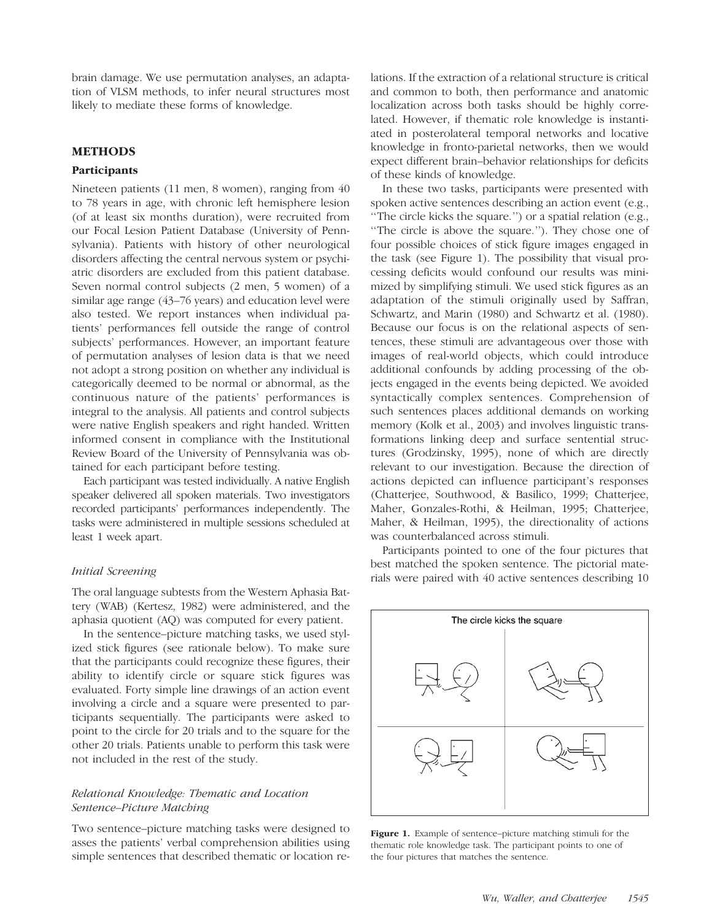brain damage. We use permutation analyses, an adaptation of VLSM methods, to infer neural structures most likely to mediate these forms of knowledge.

## METHODS

#### Participants

Nineteen patients (11 men, 8 women), ranging from 40 to 78 years in age, with chronic left hemisphere lesion (of at least six months duration), were recruited from our Focal Lesion Patient Database (University of Pennsylvania). Patients with history of other neurological disorders affecting the central nervous system or psychiatric disorders are excluded from this patient database. Seven normal control subjects (2 men, 5 women) of a similar age range (43–76 years) and education level were also tested. We report instances when individual patients' performances fell outside the range of control subjects' performances. However, an important feature of permutation analyses of lesion data is that we need not adopt a strong position on whether any individual is categorically deemed to be normal or abnormal, as the continuous nature of the patients' performances is integral to the analysis. All patients and control subjects were native English speakers and right handed. Written informed consent in compliance with the Institutional Review Board of the University of Pennsylvania was obtained for each participant before testing.

Each participant was tested individually. A native English speaker delivered all spoken materials. Two investigators recorded participants' performances independently. The tasks were administered in multiple sessions scheduled at least 1 week apart.

#### Initial Screening

The oral language subtests from the Western Aphasia Battery (WAB) (Kertesz, 1982) were administered, and the aphasia quotient (AQ) was computed for every patient.

In the sentence–picture matching tasks, we used stylized stick figures (see rationale below). To make sure that the participants could recognize these figures, their ability to identify circle or square stick figures was evaluated. Forty simple line drawings of an action event involving a circle and a square were presented to participants sequentially. The participants were asked to point to the circle for 20 trials and to the square for the other 20 trials. Patients unable to perform this task were not included in the rest of the study.

# Relational Knowledge: Thematic and Location Sentence–Picture Matching

Two sentence–picture matching tasks were designed to asses the patients' verbal comprehension abilities using simple sentences that described thematic or location relations. If the extraction of a relational structure is critical and common to both, then performance and anatomic localization across both tasks should be highly correlated. However, if thematic role knowledge is instantiated in posterolateral temporal networks and locative knowledge in fronto-parietal networks, then we would expect different brain–behavior relationships for deficits of these kinds of knowledge.

In these two tasks, participants were presented with spoken active sentences describing an action event (e.g., ''The circle kicks the square.'') or a spatial relation (e.g., ''The circle is above the square.''). They chose one of four possible choices of stick figure images engaged in the task (see Figure 1). The possibility that visual processing deficits would confound our results was minimized by simplifying stimuli. We used stick figures as an adaptation of the stimuli originally used by Saffran, Schwartz, and Marin (1980) and Schwartz et al. (1980). Because our focus is on the relational aspects of sentences, these stimuli are advantageous over those with images of real-world objects, which could introduce additional confounds by adding processing of the objects engaged in the events being depicted. We avoided syntactically complex sentences. Comprehension of such sentences places additional demands on working memory (Kolk et al., 2003) and involves linguistic transformations linking deep and surface sentential structures (Grodzinsky, 1995), none of which are directly relevant to our investigation. Because the direction of actions depicted can influence participant's responses (Chatterjee, Southwood, & Basilico, 1999; Chatterjee, Maher, Gonzales-Rothi, & Heilman, 1995; Chatterjee, Maher, & Heilman, 1995), the directionality of actions was counterbalanced across stimuli.

Participants pointed to one of the four pictures that best matched the spoken sentence. The pictorial materials were paired with 40 active sentences describing 10



Figure 1. Example of sentence-picture matching stimuli for the thematic role knowledge task. The participant points to one of the four pictures that matches the sentence.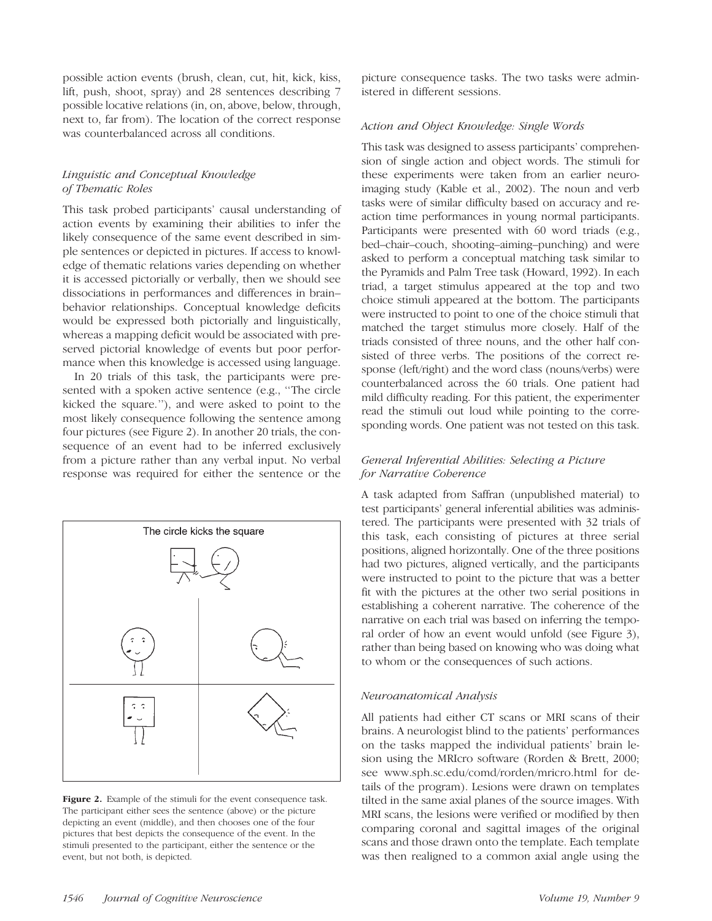possible action events (brush, clean, cut, hit, kick, kiss, lift, push, shoot, spray) and 28 sentences describing 7 possible locative relations (in, on, above, below, through, next to, far from). The location of the correct response was counterbalanced across all conditions.

# Linguistic and Conceptual Knowledge of Thematic Roles

This task probed participants' causal understanding of action events by examining their abilities to infer the likely consequence of the same event described in simple sentences or depicted in pictures. If access to knowledge of thematic relations varies depending on whether it is accessed pictorially or verbally, then we should see dissociations in performances and differences in brain– behavior relationships. Conceptual knowledge deficits would be expressed both pictorially and linguistically, whereas a mapping deficit would be associated with preserved pictorial knowledge of events but poor performance when this knowledge is accessed using language.

In 20 trials of this task, the participants were presented with a spoken active sentence (e.g., ''The circle kicked the square.''), and were asked to point to the most likely consequence following the sentence among four pictures (see Figure 2). In another 20 trials, the consequence of an event had to be inferred exclusively from a picture rather than any verbal input. No verbal response was required for either the sentence or the



Figure 2. Example of the stimuli for the event consequence task. The participant either sees the sentence (above) or the picture depicting an event (middle), and then chooses one of the four pictures that best depicts the consequence of the event. In the stimuli presented to the participant, either the sentence or the event, but not both, is depicted.

picture consequence tasks. The two tasks were administered in different sessions.

## Action and Object Knowledge: Single Words

This task was designed to assess participants' comprehension of single action and object words. The stimuli for these experiments were taken from an earlier neuroimaging study (Kable et al., 2002). The noun and verb tasks were of similar difficulty based on accuracy and reaction time performances in young normal participants. Participants were presented with 60 word triads (e.g., bed–chair–couch, shooting–aiming–punching) and were asked to perform a conceptual matching task similar to the Pyramids and Palm Tree task (Howard, 1992). In each triad, a target stimulus appeared at the top and two choice stimuli appeared at the bottom. The participants were instructed to point to one of the choice stimuli that matched the target stimulus more closely. Half of the triads consisted of three nouns, and the other half consisted of three verbs. The positions of the correct response (left/right) and the word class (nouns/verbs) were counterbalanced across the 60 trials. One patient had mild difficulty reading. For this patient, the experimenter read the stimuli out loud while pointing to the corresponding words. One patient was not tested on this task.

# General Inferential Abilities: Selecting a Picture for Narrative Coherence

A task adapted from Saffran (unpublished material) to test participants' general inferential abilities was administered. The participants were presented with 32 trials of this task, each consisting of pictures at three serial positions, aligned horizontally. One of the three positions had two pictures, aligned vertically, and the participants were instructed to point to the picture that was a better fit with the pictures at the other two serial positions in establishing a coherent narrative. The coherence of the narrative on each trial was based on inferring the temporal order of how an event would unfold (see Figure 3), rather than being based on knowing who was doing what to whom or the consequences of such actions.

#### Neuroanatomical Analysis

All patients had either CT scans or MRI scans of their brains. A neurologist blind to the patients' performances on the tasks mapped the individual patients' brain lesion using the MRIcro software (Rorden & Brett, 2000; see www.sph.sc.edu/comd/rorden/mricro.html for details of the program). Lesions were drawn on templates tilted in the same axial planes of the source images. With MRI scans, the lesions were verified or modified by then comparing coronal and sagittal images of the original scans and those drawn onto the template. Each template was then realigned to a common axial angle using the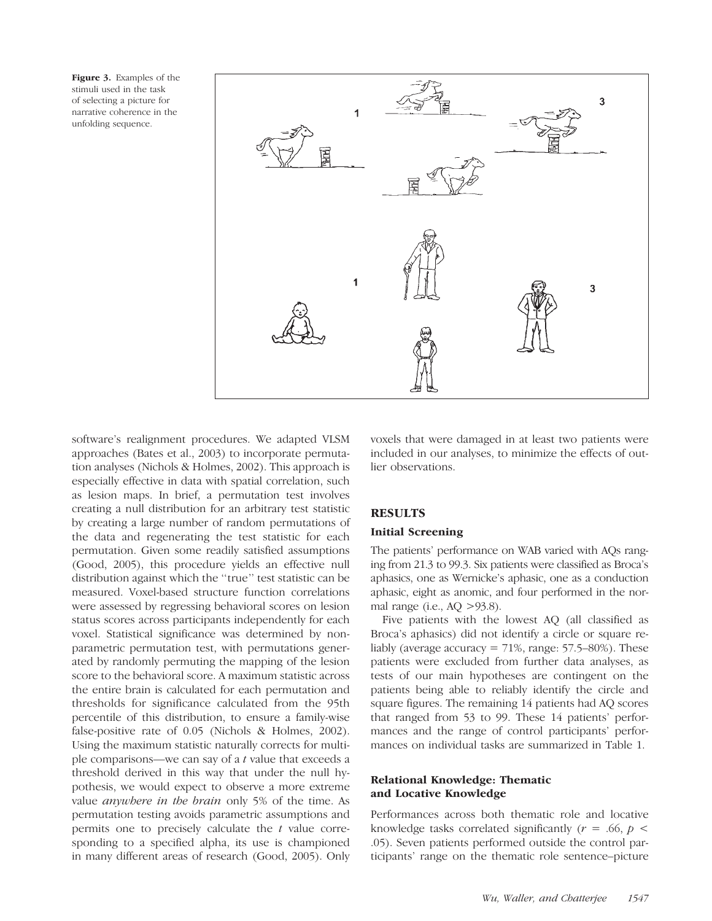Figure 3. Examples of the stimuli used in the task of selecting a picture for narrative coherence in the unfolding sequence.



software's realignment procedures. We adapted VLSM approaches (Bates et al., 2003) to incorporate permutation analyses (Nichols & Holmes, 2002). This approach is especially effective in data with spatial correlation, such as lesion maps. In brief, a permutation test involves creating a null distribution for an arbitrary test statistic by creating a large number of random permutations of the data and regenerating the test statistic for each permutation. Given some readily satisfied assumptions (Good, 2005), this procedure yields an effective null distribution against which the ''true'' test statistic can be measured. Voxel-based structure function correlations were assessed by regressing behavioral scores on lesion status scores across participants independently for each voxel. Statistical significance was determined by nonparametric permutation test, with permutations generated by randomly permuting the mapping of the lesion score to the behavioral score. A maximum statistic across the entire brain is calculated for each permutation and thresholds for significance calculated from the 95th percentile of this distribution, to ensure a family-wise false-positive rate of 0.05 (Nichols & Holmes, 2002). Using the maximum statistic naturally corrects for multiple comparisons—we can say of a  $t$  value that exceeds a threshold derived in this way that under the null hypothesis, we would expect to observe a more extreme value anywhere in the brain only 5% of the time. As permutation testing avoids parametric assumptions and permits one to precisely calculate the t value corresponding to a specified alpha, its use is championed in many different areas of research (Good, 2005). Only voxels that were damaged in at least two patients were included in our analyses, to minimize the effects of outlier observations.

# **RESULTS**

# Initial Screening

The patients' performance on WAB varied with AQs ranging from 21.3 to 99.3. Six patients were classified as Broca's aphasics, one as Wernicke's aphasic, one as a conduction aphasic, eight as anomic, and four performed in the normal range (i.e., AQ >93.8).

Five patients with the lowest AQ (all classified as Broca's aphasics) did not identify a circle or square reliably (average accuracy  $= 71\%$ , range: 57.5–80%). These patients were excluded from further data analyses, as tests of our main hypotheses are contingent on the patients being able to reliably identify the circle and square figures. The remaining 14 patients had AQ scores that ranged from 53 to 99. These 14 patients' performances and the range of control participants' performances on individual tasks are summarized in Table 1.

# Relational Knowledge: Thematic and Locative Knowledge

Performances across both thematic role and locative knowledge tasks correlated significantly  $(r = .66, p <$ .05). Seven patients performed outside the control participants' range on the thematic role sentence–picture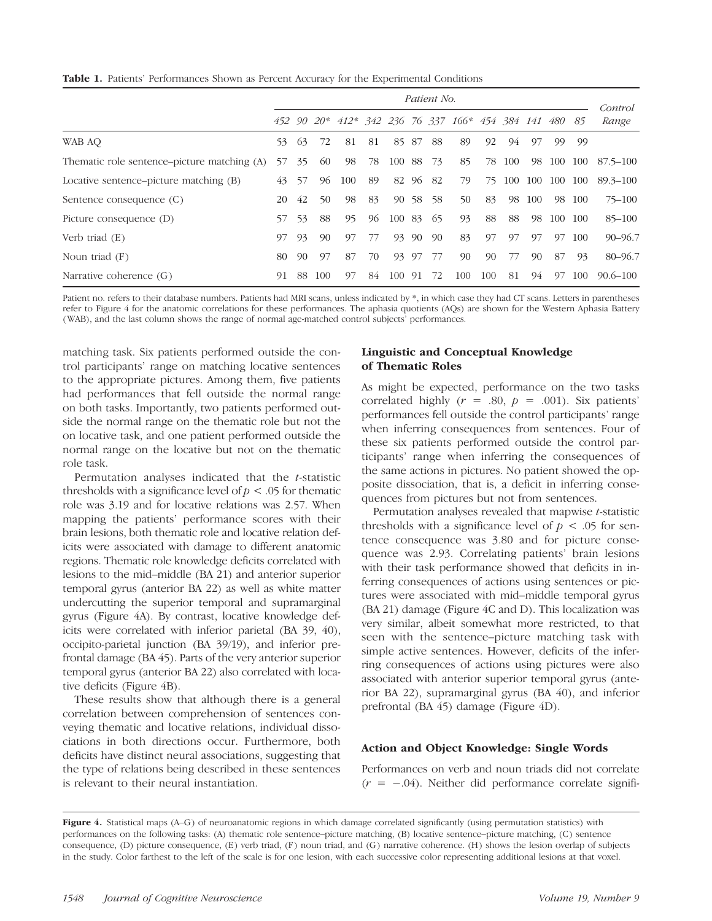**Table 1.** Patients' Performances Shown as Percent Accuracy for the Experimental Conditions

|                                             | Patient No. |    |     |     |    |        |       |     |                                                    |     |     |     |         |     | Control      |
|---------------------------------------------|-------------|----|-----|-----|----|--------|-------|-----|----------------------------------------------------|-----|-----|-----|---------|-----|--------------|
|                                             | 452         |    |     |     |    |        |       |     | 90 20* 412* 342 236 76 337 166* 454 384 141 480 85 |     |     |     |         |     | Range        |
| WAB AO                                      | 53          | 63 | 72  | 81  | 81 | 85 87  |       | 88  | 89                                                 | 92  | 94  | 97  | 99      | -99 |              |
| Thematic role sentence–picture matching (A) | 57          | 35 | 60  | 98  | 78 | 100    | -88   | 73  | 85                                                 | 78  | 100 | 98  | 100     | 100 | 87.5–100     |
| Locative sentence–picture matching (B)      | 43          | 57 | 96  | 100 | 89 |        | 82 96 | -82 | 79                                                 | 75. | 100 | 100 | 100 100 |     | 89.3–100     |
| Sentence consequence (C)                    | 20          | 42 | 50  | 98  | 83 |        | 90 58 | -58 | 50                                                 | 83  | 98  | 100 | 98      | 100 | $75 - 100$   |
| Picture consequence $(D)$                   | 57          | 53 | 88  | 95  | 96 | 100 83 |       | 65  | 93                                                 | 88  | 88  | 98  | 100 100 |     | 85-100       |
| Verb triad $(E)$                            | 97          | 93 | 90  | 97  | 77 | 93     | -90   | 90  | 83                                                 | 97  | 97  | 97  | 97      | 100 | $90 - 96.7$  |
| Noun triad $(F)$                            | 80          | 90 | 97  | 87  | 70 | 93     | -97   | -77 | 90                                                 | 90  | 77  | 90  | 87      | -93 | $80 - 96.7$  |
| Narrative coherence $(G)$                   | 91          | 88 | 100 | 97  | 84 | 100    | -91   | 72  | 100                                                | 100 | 81  | 94  | 97      | 100 | $90.6 - 100$ |

Patient no. refers to their database numbers. Patients had MRI scans, unless indicated by \*, in which case they had CT scans. Letters in parentheses refer to Figure 4 for the anatomic correlations for these performances. The aphasia quotients (AQs) are shown for the Western Aphasia Battery (WAB), and the last column shows the range of normal age-matched control subjects' performances.

matching task. Six patients performed outside the control participants' range on matching locative sentences to the appropriate pictures. Among them, five patients had performances that fell outside the normal range on both tasks. Importantly, two patients performed outside the normal range on the thematic role but not the on locative task, and one patient performed outside the normal range on the locative but not on the thematic role task.

Permutation analyses indicated that the t-statistic thresholds with a significance level of  $p < 0.05$  for thematic role was 3.19 and for locative relations was 2.57. When mapping the patients' performance scores with their brain lesions, both thematic role and locative relation deficits were associated with damage to different anatomic regions. Thematic role knowledge deficits correlated with lesions to the mid–middle (BA 21) and anterior superior temporal gyrus (anterior BA 22) as well as white matter undercutting the superior temporal and supramarginal gyrus (Figure 4A). By contrast, locative knowledge deficits were correlated with inferior parietal (BA 39, 40), occipito-parietal junction (BA 39/19), and inferior prefrontal damage (BA 45). Parts of the very anterior superior temporal gyrus (anterior BA 22) also correlated with locative deficits (Figure 4B).

These results show that although there is a general correlation between comprehension of sentences conveying thematic and locative relations, individual dissociations in both directions occur. Furthermore, both deficits have distinct neural associations, suggesting that the type of relations being described in these sentences is relevant to their neural instantiation.

# Linguistic and Conceptual Knowledge of Thematic Roles

As might be expected, performance on the two tasks correlated highly  $(r = .80, p = .001)$ . Six patients' performances fell outside the control participants' range when inferring consequences from sentences. Four of these six patients performed outside the control participants' range when inferring the consequences of the same actions in pictures. No patient showed the opposite dissociation, that is, a deficit in inferring consequences from pictures but not from sentences.

Permutation analyses revealed that mapwise *t*-statistic thresholds with a significance level of  $p < .05$  for sentence consequence was 3.80 and for picture consequence was 2.93. Correlating patients' brain lesions with their task performance showed that deficits in inferring consequences of actions using sentences or pictures were associated with mid–middle temporal gyrus (BA 21) damage (Figure 4C and D). This localization was very similar, albeit somewhat more restricted, to that seen with the sentence–picture matching task with simple active sentences. However, deficits of the inferring consequences of actions using pictures were also associated with anterior superior temporal gyrus (anterior BA 22), supramarginal gyrus (BA 40), and inferior prefrontal (BA 45) damage (Figure 4D).

#### Action and Object Knowledge: Single Words

Performances on verb and noun triads did not correlate  $(r = -.04)$ . Neither did performance correlate signifi-

Figure 4. Statistical maps (A–G) of neuroanatomic regions in which damage correlated significantly (using permutation statistics) with performances on the following tasks: (A) thematic role sentence–picture matching, (B) locative sentence–picture matching, (C) sentence consequence, (D) picture consequence, (E) verb triad, (F) noun triad, and (G) narrative coherence. (H) shows the lesion overlap of subjects in the study. Color farthest to the left of the scale is for one lesion, with each successive color representing additional lesions at that voxel.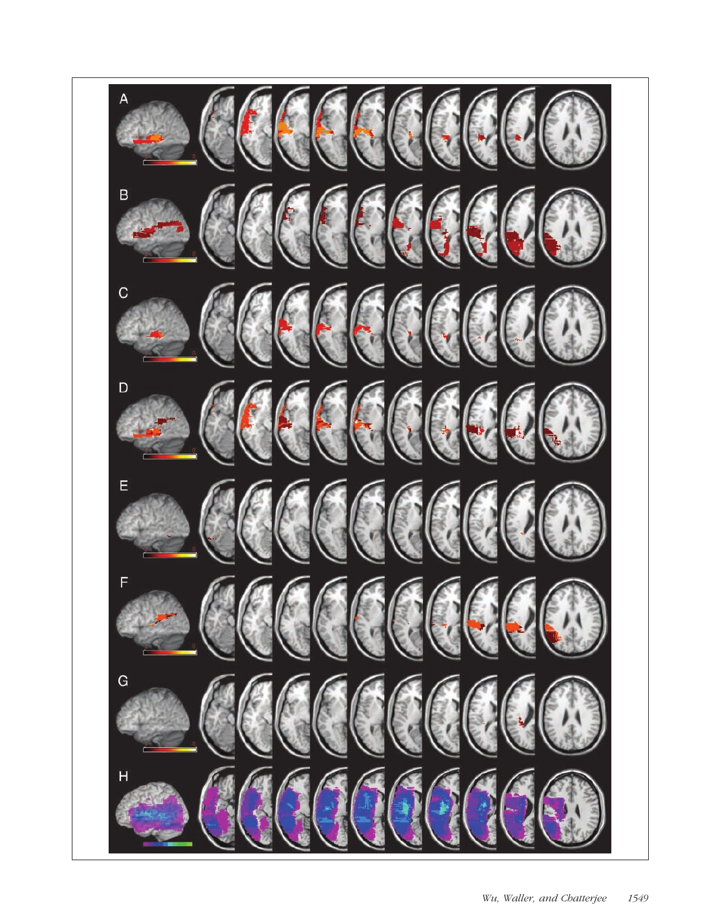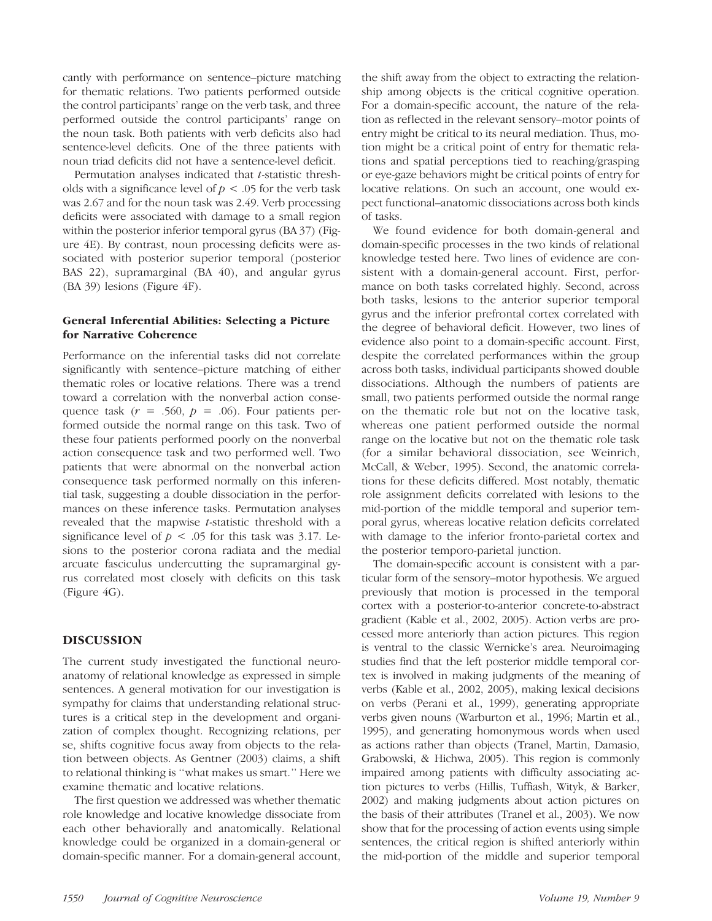cantly with performance on sentence–picture matching for thematic relations. Two patients performed outside the control participants' range on the verb task, and three performed outside the control participants' range on the noun task. Both patients with verb deficits also had sentence-level deficits. One of the three patients with noun triad deficits did not have a sentence-level deficit.

Permutation analyses indicated that *t*-statistic thresholds with a significance level of  $p < 0.05$  for the verb task was 2.67 and for the noun task was 2.49. Verb processing deficits were associated with damage to a small region within the posterior inferior temporal gyrus (BA 37) (Figure 4E). By contrast, noun processing deficits were associated with posterior superior temporal (posterior BAS 22), supramarginal (BA 40), and angular gyrus (BA 39) lesions (Figure 4F).

# General Inferential Abilities: Selecting a Picture for Narrative Coherence

Performance on the inferential tasks did not correlate significantly with sentence–picture matching of either thematic roles or locative relations. There was a trend toward a correlation with the nonverbal action consequence task  $(r = .560, p = .06)$ . Four patients performed outside the normal range on this task. Two of these four patients performed poorly on the nonverbal action consequence task and two performed well. Two patients that were abnormal on the nonverbal action consequence task performed normally on this inferential task, suggesting a double dissociation in the performances on these inference tasks. Permutation analyses revealed that the mapwise t-statistic threshold with a significance level of  $p < .05$  for this task was 3.17. Lesions to the posterior corona radiata and the medial arcuate fasciculus undercutting the supramarginal gyrus correlated most closely with deficits on this task (Figure 4G).

### DISCUSSION

The current study investigated the functional neuroanatomy of relational knowledge as expressed in simple sentences. A general motivation for our investigation is sympathy for claims that understanding relational structures is a critical step in the development and organization of complex thought. Recognizing relations, per se, shifts cognitive focus away from objects to the relation between objects. As Gentner (2003) claims, a shift to relational thinking is ''what makes us smart.'' Here we examine thematic and locative relations.

The first question we addressed was whether thematic role knowledge and locative knowledge dissociate from each other behaviorally and anatomically. Relational knowledge could be organized in a domain-general or domain-specific manner. For a domain-general account,

the shift away from the object to extracting the relationship among objects is the critical cognitive operation. For a domain-specific account, the nature of the relation as reflected in the relevant sensory–motor points of entry might be critical to its neural mediation. Thus, motion might be a critical point of entry for thematic relations and spatial perceptions tied to reaching/grasping or eye-gaze behaviors might be critical points of entry for locative relations. On such an account, one would expect functional–anatomic dissociations across both kinds of tasks.

We found evidence for both domain-general and domain-specific processes in the two kinds of relational knowledge tested here. Two lines of evidence are consistent with a domain-general account. First, performance on both tasks correlated highly. Second, across both tasks, lesions to the anterior superior temporal gyrus and the inferior prefrontal cortex correlated with the degree of behavioral deficit. However, two lines of evidence also point to a domain-specific account. First, despite the correlated performances within the group across both tasks, individual participants showed double dissociations. Although the numbers of patients are small, two patients performed outside the normal range on the thematic role but not on the locative task, whereas one patient performed outside the normal range on the locative but not on the thematic role task (for a similar behavioral dissociation, see Weinrich, McCall, & Weber, 1995). Second, the anatomic correlations for these deficits differed. Most notably, thematic role assignment deficits correlated with lesions to the mid-portion of the middle temporal and superior temporal gyrus, whereas locative relation deficits correlated with damage to the inferior fronto-parietal cortex and the posterior temporo-parietal junction.

The domain-specific account is consistent with a particular form of the sensory–motor hypothesis. We argued previously that motion is processed in the temporal cortex with a posterior-to-anterior concrete-to-abstract gradient (Kable et al., 2002, 2005). Action verbs are processed more anteriorly than action pictures. This region is ventral to the classic Wernicke's area. Neuroimaging studies find that the left posterior middle temporal cortex is involved in making judgments of the meaning of verbs (Kable et al., 2002, 2005), making lexical decisions on verbs (Perani et al., 1999), generating appropriate verbs given nouns (Warburton et al., 1996; Martin et al., 1995), and generating homonymous words when used as actions rather than objects (Tranel, Martin, Damasio, Grabowski, & Hichwa, 2005). This region is commonly impaired among patients with difficulty associating action pictures to verbs (Hillis, Tuffiash, Wityk, & Barker, 2002) and making judgments about action pictures on the basis of their attributes (Tranel et al., 2003). We now show that for the processing of action events using simple sentences, the critical region is shifted anteriorly within the mid-portion of the middle and superior temporal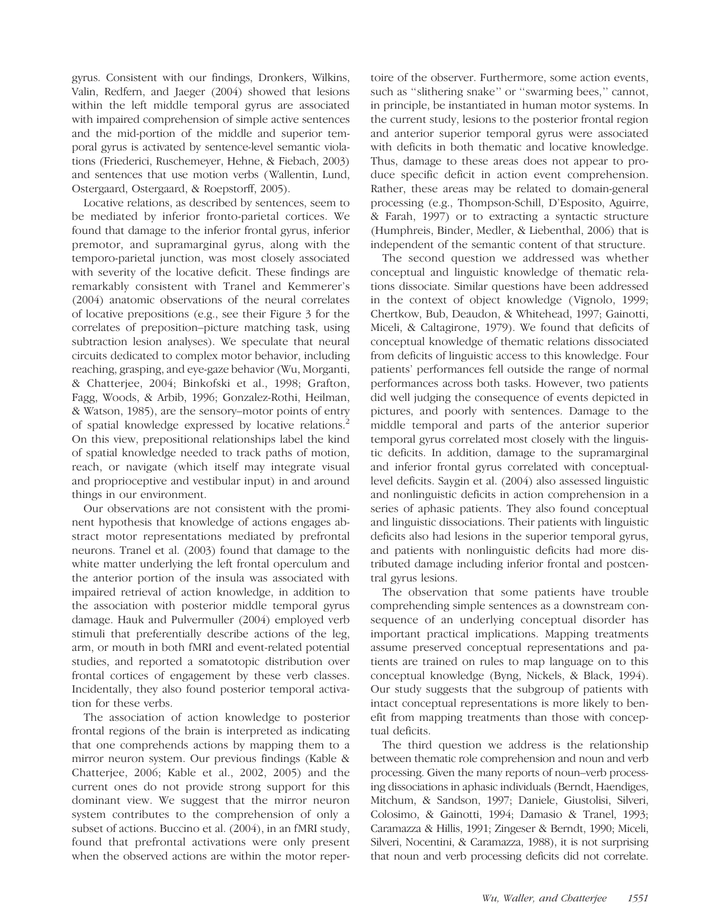gyrus. Consistent with our findings, Dronkers, Wilkins, Valin, Redfern, and Jaeger (2004) showed that lesions within the left middle temporal gyrus are associated with impaired comprehension of simple active sentences and the mid-portion of the middle and superior temporal gyrus is activated by sentence-level semantic violations (Friederici, Ruschemeyer, Hehne, & Fiebach, 2003) and sentences that use motion verbs (Wallentin, Lund, Ostergaard, Ostergaard, & Roepstorff, 2005).

Locative relations, as described by sentences, seem to be mediated by inferior fronto-parietal cortices. We found that damage to the inferior frontal gyrus, inferior premotor, and supramarginal gyrus, along with the temporo-parietal junction, was most closely associated with severity of the locative deficit. These findings are remarkably consistent with Tranel and Kemmerer's (2004) anatomic observations of the neural correlates of locative prepositions (e.g., see their Figure 3 for the correlates of preposition–picture matching task, using subtraction lesion analyses). We speculate that neural circuits dedicated to complex motor behavior, including reaching, grasping, and eye-gaze behavior (Wu, Morganti, & Chatterjee, 2004; Binkofski et al., 1998; Grafton, Fagg, Woods, & Arbib, 1996; Gonzalez-Rothi, Heilman, & Watson, 1985), are the sensory–motor points of entry of spatial knowledge expressed by locative relations.<sup>2</sup> On this view, prepositional relationships label the kind of spatial knowledge needed to track paths of motion, reach, or navigate (which itself may integrate visual and proprioceptive and vestibular input) in and around things in our environment.

Our observations are not consistent with the prominent hypothesis that knowledge of actions engages abstract motor representations mediated by prefrontal neurons. Tranel et al. (2003) found that damage to the white matter underlying the left frontal operculum and the anterior portion of the insula was associated with impaired retrieval of action knowledge, in addition to the association with posterior middle temporal gyrus damage. Hauk and Pulvermuller (2004) employed verb stimuli that preferentially describe actions of the leg, arm, or mouth in both fMRI and event-related potential studies, and reported a somatotopic distribution over frontal cortices of engagement by these verb classes. Incidentally, they also found posterior temporal activation for these verbs.

The association of action knowledge to posterior frontal regions of the brain is interpreted as indicating that one comprehends actions by mapping them to a mirror neuron system. Our previous findings (Kable & Chatterjee, 2006; Kable et al., 2002, 2005) and the current ones do not provide strong support for this dominant view. We suggest that the mirror neuron system contributes to the comprehension of only a subset of actions. Buccino et al. (2004), in an fMRI study, found that prefrontal activations were only present when the observed actions are within the motor repertoire of the observer. Furthermore, some action events, such as ''slithering snake'' or ''swarming bees,'' cannot, in principle, be instantiated in human motor systems. In the current study, lesions to the posterior frontal region and anterior superior temporal gyrus were associated with deficits in both thematic and locative knowledge. Thus, damage to these areas does not appear to produce specific deficit in action event comprehension. Rather, these areas may be related to domain-general processing (e.g., Thompson-Schill, D'Esposito, Aguirre, & Farah, 1997) or to extracting a syntactic structure (Humphreis, Binder, Medler, & Liebenthal, 2006) that is independent of the semantic content of that structure.

The second question we addressed was whether conceptual and linguistic knowledge of thematic relations dissociate. Similar questions have been addressed in the context of object knowledge (Vignolo, 1999; Chertkow, Bub, Deaudon, & Whitehead, 1997; Gainotti, Miceli, & Caltagirone, 1979). We found that deficits of conceptual knowledge of thematic relations dissociated from deficits of linguistic access to this knowledge. Four patients' performances fell outside the range of normal performances across both tasks. However, two patients did well judging the consequence of events depicted in pictures, and poorly with sentences. Damage to the middle temporal and parts of the anterior superior temporal gyrus correlated most closely with the linguistic deficits. In addition, damage to the supramarginal and inferior frontal gyrus correlated with conceptuallevel deficits. Saygin et al. (2004) also assessed linguistic and nonlinguistic deficits in action comprehension in a series of aphasic patients. They also found conceptual and linguistic dissociations. Their patients with linguistic deficits also had lesions in the superior temporal gyrus, and patients with nonlinguistic deficits had more distributed damage including inferior frontal and postcentral gyrus lesions.

The observation that some patients have trouble comprehending simple sentences as a downstream consequence of an underlying conceptual disorder has important practical implications. Mapping treatments assume preserved conceptual representations and patients are trained on rules to map language on to this conceptual knowledge (Byng, Nickels, & Black, 1994). Our study suggests that the subgroup of patients with intact conceptual representations is more likely to benefit from mapping treatments than those with conceptual deficits.

The third question we address is the relationship between thematic role comprehension and noun and verb processing. Given the many reports of noun–verb processing dissociations in aphasic individuals (Berndt, Haendiges, Mitchum, & Sandson, 1997; Daniele, Giustolisi, Silveri, Colosimo, & Gainotti, 1994; Damasio & Tranel, 1993; Caramazza & Hillis, 1991; Zingeser & Berndt, 1990; Miceli, Silveri, Nocentini, & Caramazza, 1988), it is not surprising that noun and verb processing deficits did not correlate.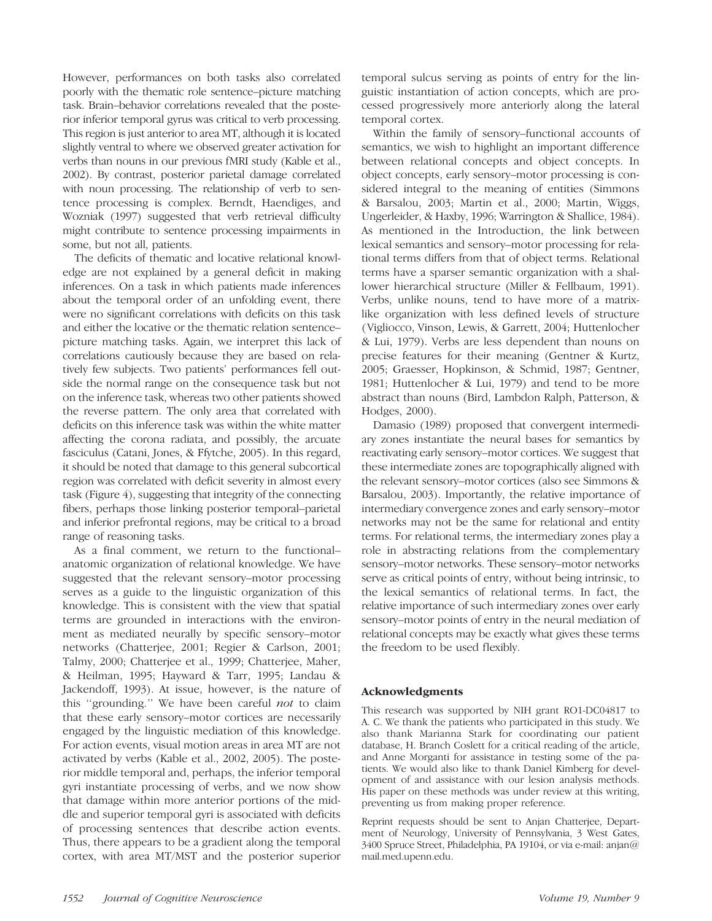However, performances on both tasks also correlated poorly with the thematic role sentence–picture matching task. Brain–behavior correlations revealed that the posterior inferior temporal gyrus was critical to verb processing. This region is just anterior to area MT, although it is located slightly ventral to where we observed greater activation for verbs than nouns in our previous fMRI study (Kable et al., 2002). By contrast, posterior parietal damage correlated with noun processing. The relationship of verb to sentence processing is complex. Berndt, Haendiges, and Wozniak (1997) suggested that verb retrieval difficulty might contribute to sentence processing impairments in some, but not all, patients.

The deficits of thematic and locative relational knowledge are not explained by a general deficit in making inferences. On a task in which patients made inferences about the temporal order of an unfolding event, there were no significant correlations with deficits on this task and either the locative or the thematic relation sentence– picture matching tasks. Again, we interpret this lack of correlations cautiously because they are based on relatively few subjects. Two patients' performances fell outside the normal range on the consequence task but not on the inference task, whereas two other patients showed the reverse pattern. The only area that correlated with deficits on this inference task was within the white matter affecting the corona radiata, and possibly, the arcuate fasciculus (Catani, Jones, & Ffytche, 2005). In this regard, it should be noted that damage to this general subcortical region was correlated with deficit severity in almost every task (Figure 4), suggesting that integrity of the connecting fibers, perhaps those linking posterior temporal–parietal and inferior prefrontal regions, may be critical to a broad range of reasoning tasks.

As a final comment, we return to the functional– anatomic organization of relational knowledge. We have suggested that the relevant sensory–motor processing serves as a guide to the linguistic organization of this knowledge. This is consistent with the view that spatial terms are grounded in interactions with the environment as mediated neurally by specific sensory–motor networks (Chatterjee, 2001; Regier & Carlson, 2001; Talmy, 2000; Chatterjee et al., 1999; Chatterjee, Maher, & Heilman, 1995; Hayward & Tarr, 1995; Landau & Jackendoff, 1993). At issue, however, is the nature of this "grounding." We have been careful not to claim that these early sensory–motor cortices are necessarily engaged by the linguistic mediation of this knowledge. For action events, visual motion areas in area MT are not activated by verbs (Kable et al., 2002, 2005). The posterior middle temporal and, perhaps, the inferior temporal gyri instantiate processing of verbs, and we now show that damage within more anterior portions of the middle and superior temporal gyri is associated with deficits of processing sentences that describe action events. Thus, there appears to be a gradient along the temporal cortex, with area MT/MST and the posterior superior

temporal sulcus serving as points of entry for the linguistic instantiation of action concepts, which are processed progressively more anteriorly along the lateral temporal cortex.

Within the family of sensory–functional accounts of semantics, we wish to highlight an important difference between relational concepts and object concepts. In object concepts, early sensory–motor processing is considered integral to the meaning of entities (Simmons & Barsalou, 2003; Martin et al., 2000; Martin, Wiggs, Ungerleider, & Haxby, 1996; Warrington & Shallice, 1984). As mentioned in the Introduction, the link between lexical semantics and sensory–motor processing for relational terms differs from that of object terms. Relational terms have a sparser semantic organization with a shallower hierarchical structure (Miller & Fellbaum, 1991). Verbs, unlike nouns, tend to have more of a matrixlike organization with less defined levels of structure (Vigliocco, Vinson, Lewis, & Garrett, 2004; Huttenlocher & Lui, 1979). Verbs are less dependent than nouns on precise features for their meaning (Gentner & Kurtz, 2005; Graesser, Hopkinson, & Schmid, 1987; Gentner, 1981; Huttenlocher & Lui, 1979) and tend to be more abstract than nouns (Bird, Lambdon Ralph, Patterson, & Hodges, 2000).

Damasio (1989) proposed that convergent intermediary zones instantiate the neural bases for semantics by reactivating early sensory–motor cortices. We suggest that these intermediate zones are topographically aligned with the relevant sensory–motor cortices (also see Simmons & Barsalou, 2003). Importantly, the relative importance of intermediary convergence zones and early sensory–motor networks may not be the same for relational and entity terms. For relational terms, the intermediary zones play a role in abstracting relations from the complementary sensory–motor networks. These sensory–motor networks serve as critical points of entry, without being intrinsic, to the lexical semantics of relational terms. In fact, the relative importance of such intermediary zones over early sensory–motor points of entry in the neural mediation of relational concepts may be exactly what gives these terms the freedom to be used flexibly.

# Acknowledgments

This research was supported by NIH grant RO1-DC04817 to A. C. We thank the patients who participated in this study. We also thank Marianna Stark for coordinating our patient database, H. Branch Coslett for a critical reading of the article, and Anne Morganti for assistance in testing some of the patients. We would also like to thank Daniel Kimberg for development of and assistance with our lesion analysis methods. His paper on these methods was under review at this writing, preventing us from making proper reference.

Reprint requests should be sent to Anjan Chatterjee, Department of Neurology, University of Pennsylvania, 3 West Gates, 3400 Spruce Street, Philadelphia, PA 19104, or via e-mail: anjan@ mail.med.upenn.edu.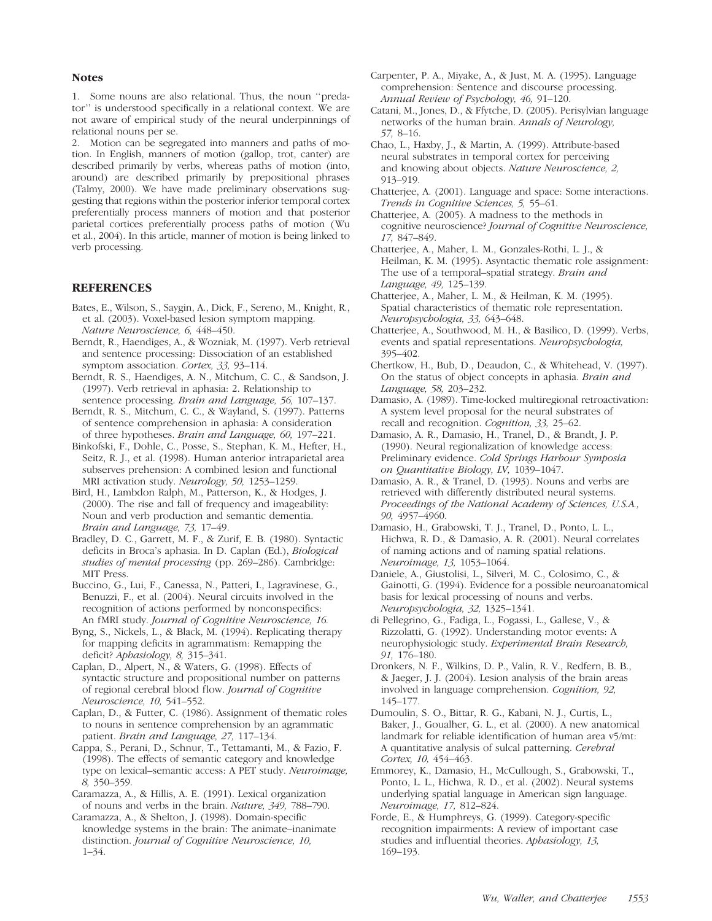#### **Notes**

1. Some nouns are also relational. Thus, the noun ''predator'' is understood specifically in a relational context. We are not aware of empirical study of the neural underpinnings of relational nouns per se.

2. Motion can be segregated into manners and paths of motion. In English, manners of motion (gallop, trot, canter) are described primarily by verbs, whereas paths of motion (into, around) are described primarily by prepositional phrases (Talmy, 2000). We have made preliminary observations suggesting that regions within the posterior inferior temporal cortex preferentially process manners of motion and that posterior parietal cortices preferentially process paths of motion (Wu et al., 2004). In this article, manner of motion is being linked to verb processing.

#### **REFERENCES**

- Bates, E., Wilson, S., Saygin, A., Dick, F., Sereno, M., Knight, R., et al. (2003). Voxel-based lesion symptom mapping. Nature Neuroscience, 6, 448–450.
- Berndt, R., Haendiges, A., & Wozniak, M. (1997). Verb retrieval and sentence processing: Dissociation of an established symptom association. Cortex, 33, 93–114.
- Berndt, R. S., Haendiges, A. N., Mitchum, C. C., & Sandson, J. (1997). Verb retrieval in aphasia: 2. Relationship to sentence processing. Brain and Language, 56, 107-137.
- Berndt, R. S., Mitchum, C. C., & Wayland, S. (1997). Patterns of sentence comprehension in aphasia: A consideration of three hypotheses. Brain and Language, 60, 197–221.
- Binkofski, F., Dohle, C., Posse, S., Stephan, K. M., Hefter, H., Seitz, R. J., et al. (1998). Human anterior intraparietal area subserves prehension: A combined lesion and functional MRI activation study. Neurology, 50, 1253–1259.
- Bird, H., Lambdon Ralph, M., Patterson, K., & Hodges, J. (2000). The rise and fall of frequency and imageability: Noun and verb production and semantic dementia. Brain and Language, 73, 17–49.
- Bradley, D. C., Garrett, M. F., & Zurif, E. B. (1980). Syntactic deficits in Broca's aphasia. In D. Caplan (Ed.), Biological studies of mental processing (pp. 269–286). Cambridge: MIT Press.
- Buccino, G., Lui, F., Canessa, N., Patteri, I., Lagravinese, G., Benuzzi, F., et al. (2004). Neural circuits involved in the recognition of actions performed by nonconspecifics: An fMRI study. Journal of Cognitive Neuroscience, 16.
- Byng, S., Nickels, L., & Black, M. (1994). Replicating therapy for mapping deficits in agrammatism: Remapping the deficit? Aphasiology, 8, 315–341.
- Caplan, D., Alpert, N., & Waters, G. (1998). Effects of syntactic structure and propositional number on patterns of regional cerebral blood flow. Journal of Cognitive Neuroscience, 10, 541–552.
- Caplan, D., & Futter, C. (1986). Assignment of thematic roles to nouns in sentence comprehension by an agrammatic patient. Brain and Language, 27, 117–134.
- Cappa, S., Perani, D., Schnur, T., Tettamanti, M., & Fazio, F. (1998). The effects of semantic category and knowledge type on lexical–semantic access: A PET study. Neuroimage, 8, 350–359.
- Caramazza, A., & Hillis, A. E. (1991). Lexical organization of nouns and verbs in the brain. Nature, 349, 788–790.
- Caramazza, A., & Shelton, J. (1998). Domain-specific knowledge systems in the brain: The animate–inanimate distinction. Journal of Cognitive Neuroscience, 10, 1–34.
- Carpenter, P. A., Miyake, A., & Just, M. A. (1995). Language comprehension: Sentence and discourse processing. Annual Review of Psychology, 46, 91–120.
- Catani, M., Jones, D., & Ffytche, D. (2005). Perisylvian language networks of the human brain. Annals of Neurology, 57, 8–16.
- Chao, L., Haxby, J., & Martin, A. (1999). Attribute-based neural substrates in temporal cortex for perceiving and knowing about objects. Nature Neuroscience, 2, 913–919.
- Chatterjee, A. (2001). Language and space: Some interactions. Trends in Cognitive Sciences, 5, 55–61.
- Chatterjee, A. (2005). A madness to the methods in cognitive neuroscience? Journal of Cognitive Neuroscience, 17, 847–849.
- Chatterjee, A., Maher, L. M., Gonzales-Rothi, L. J., & Heilman, K. M. (1995). Asyntactic thematic role assignment: The use of a temporal–spatial strategy. Brain and Language, 49, 125–139.
- Chatterjee, A., Maher, L. M., & Heilman, K. M. (1995). Spatial characteristics of thematic role representation. Neuropsychologia, 33, 643–648.
- Chatterjee, A., Southwood, M. H., & Basilico, D. (1999). Verbs, events and spatial representations. Neuropsychologia, 395–402.
- Chertkow, H., Bub, D., Deaudon, C., & Whitehead, V. (1997). On the status of object concepts in aphasia. Brain and Language, 58, 203–232.
- Damasio, A. (1989). Time-locked multiregional retroactivation: A system level proposal for the neural substrates of recall and recognition. Cognition, 33, 25–62.
- Damasio, A. R., Damasio, H., Tranel, D., & Brandt, J. P. (1990). Neural regionalization of knowledge access: Preliminary evidence. Cold Springs Harbour Symposia on Quantitative Biology, LV, 1039–1047.
- Damasio, A. R., & Tranel, D. (1993). Nouns and verbs are retrieved with differently distributed neural systems. Proceedings of the National Academy of Sciences, U.S.A., 90, 4957–4960.
- Damasio, H., Grabowski, T. J., Tranel, D., Ponto, L. L., Hichwa, R. D., & Damasio, A. R. (2001). Neural correlates of naming actions and of naming spatial relations. Neuroimage, 13, 1053–1064.
- Daniele, A., Giustolisi, L., Silveri, M. C., Colosimo, C., & Gainotti, G. (1994). Evidence for a possible neuroanatomical basis for lexical processing of nouns and verbs. Neuropsychologia, 32, 1325–1341.
- di Pellegrino, G., Fadiga, L., Fogassi, L., Gallese, V., & Rizzolatti, G. (1992). Understanding motor events: A neurophysiologic study. Experimental Brain Research, 91, 176–180.
- Dronkers, N. F., Wilkins, D. P., Valin, R. V., Redfern, B. B., & Jaeger, J. J. (2004). Lesion analysis of the brain areas involved in language comprehension. Cognition, 92, 145–177.
- Dumoulin, S. O., Bittar, R. G., Kabani, N. J., Curtis, L., Baker, J., Goualher, G. L., et al. (2000). A new anatomical landmark for reliable identification of human area v5/mt: A quantitative analysis of sulcal patterning. Cerebral Cortex, 10, 454–463.
- Emmorey, K., Damasio, H., McCullough, S., Grabowski, T., Ponto, L. L., Hichwa, R. D., et al. (2002). Neural systems underlying spatial language in American sign language. Neuroimage, 17, 812–824.
- Forde, E., & Humphreys, G. (1999). Category-specific recognition impairments: A review of important case studies and influential theories. Aphasiology, 13, 169–193.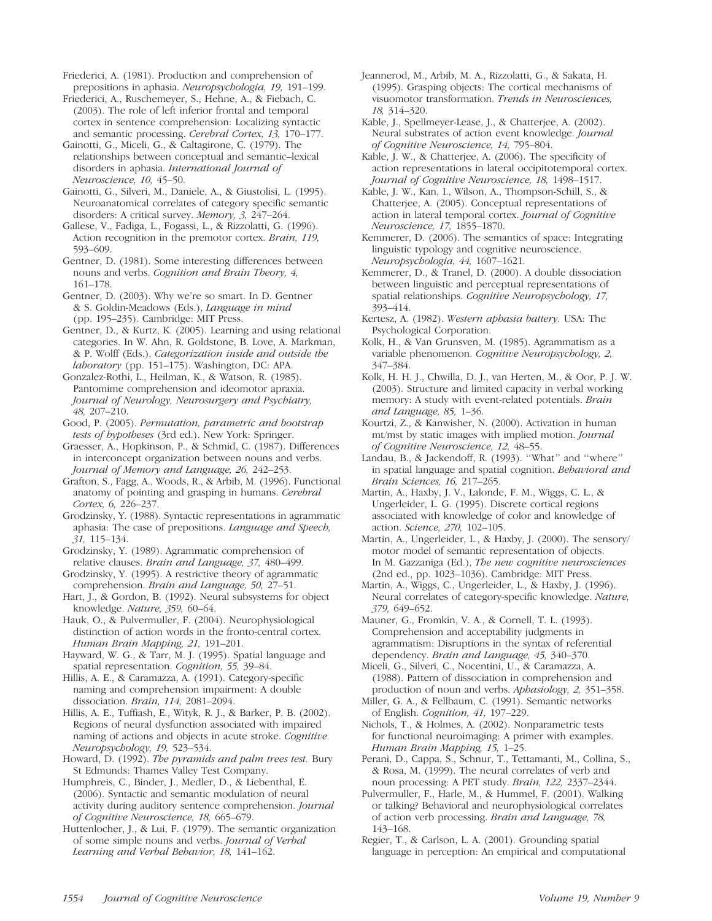Friederici, A. (1981). Production and comprehension of prepositions in aphasia. Neuropsychologia, 19, 191–199.

Friederici, A., Ruschemeyer, S., Hehne, A., & Fiebach, C. (2003). The role of left inferior frontal and temporal cortex in sentence comprehension: Localizing syntactic and semantic processing. Cerebral Cortex, 13, 170–177.

Gainotti, G., Miceli, G., & Caltagirone, C. (1979). The relationships between conceptual and semantic–lexical disorders in aphasia. International Journal of Neuroscience, 10, 45–50.

Gainotti, G., Silveri, M., Daniele, A., & Giustolisi, L. (1995). Neuroanatomical correlates of category specific semantic disorders: A critical survey. Memory, 3, 247–264.

Gallese, V., Fadiga, L., Fogassi, L., & Rizzolatti, G. (1996). Action recognition in the premotor cortex. Brain, 119, 593–609.

Gentner, D. (1981). Some interesting differences between nouns and verbs. Cognition and Brain Theory, 4, 161–178.

Gentner, D. (2003). Why we're so smart. In D. Gentner & S. Goldin-Meadows (Eds.), Language in mind (pp. 195–235). Cambridge: MIT Press.

Gentner, D., & Kurtz, K. (2005). Learning and using relational categories. In W. Ahn, R. Goldstone, B. Love, A. Markman, & P. Wolff (Eds.), Categorization inside and outside the laboratory (pp. 151–175). Washington, DC: APA.

Gonzalez-Rothi, L., Heilman, K., & Watson, R. (1985). Pantomime comprehension and ideomotor apraxia. Journal of Neurology, Neurosurgery and Psychiatry, 48, 207–210.

Good, P. (2005). Permutation, parametric and bootstrap tests of hypotheses (3rd ed.). New York: Springer.

Graesser, A., Hopkinson, P., & Schmid, C. (1987). Differences in interconcept organization between nouns and verbs. Journal of Memory and Language, 26, 242–253.

Grafton, S., Fagg, A., Woods, R., & Arbib, M. (1996). Functional anatomy of pointing and grasping in humans. Cerebral Cortex, 6, 226–237.

Grodzinsky, Y. (1988). Syntactic representations in agrammatic aphasia: The case of prepositions. Language and Speech, 31, 115–134.

Grodzinsky, Y. (1989). Agrammatic comprehension of relative clauses. Brain and Language, 37, 480–499.

Grodzinsky, Y. (1995). A restrictive theory of agrammatic comprehension. Brain and Language, 50, 27–51.

Hart, J., & Gordon, B. (1992). Neural subsystems for object knowledge. Nature, 359, 60–64.

Hauk, O., & Pulvermuller, F. (2004). Neurophysiological distinction of action words in the fronto-central cortex. Human Brain Mapping, 21, 191–201.

Hayward, W. G., & Tarr, M. J. (1995). Spatial language and spatial representation. Cognition, 55, 39–84.

Hillis, A. E., & Caramazza, A. (1991). Category-specific naming and comprehension impairment: A double dissociation. Brain, 114, 2081–2094.

Hillis, A. E., Tuffiash, E., Wityk, R. J., & Barker, P. B. (2002). Regions of neural dysfunction associated with impaired naming of actions and objects in acute stroke. Cognitive Neuropsychology, 19, 523–534.

Howard, D. (1992). The pyramids and palm trees test. Bury St Edmunds: Thames Valley Test Company.

Humphreis, C., Binder, J., Medler, D., & Liebenthal, E. (2006). Syntactic and semantic modulation of neural activity during auditory sentence comprehension. Journal of Cognitive Neuroscience, 18, 665–679.

Huttenlocher, J., & Lui, F. (1979). The semantic organization of some simple nouns and verbs. Journal of Verbal Learning and Verbal Behavior, 18, 141–162.

Jeannerod, M., Arbib, M. A., Rizzolatti, G., & Sakata, H. (1995). Grasping objects: The cortical mechanisms of visuomotor transformation. Trends in Neurosciences, 18, 314–320.

Kable, J., Spellmeyer-Lease, J., & Chatterjee, A. (2002). Neural substrates of action event knowledge. Journal of Cognitive Neuroscience, 14, 795–804.

Kable, J. W., & Chatterjee, A. (2006). The specificity of action representations in lateral occipitotemporal cortex. Journal of Cognitive Neuroscience, 18, 1498–1517.

Kable, J. W., Kan, I., Wilson, A., Thompson-Schill, S., & Chatterjee, A. (2005). Conceptual representations of action in lateral temporal cortex. Journal of Cognitive Neuroscience, 17, 1855–1870.

Kemmerer, D. (2006). The semantics of space: Integrating linguistic typology and cognitive neuroscience. Neuropsychologia, 44, 1607–1621.

Kemmerer, D., & Tranel, D. (2000). A double dissociation between linguistic and perceptual representations of spatial relationships. Cognitive Neuropsychology, 17, 393–414.

Kertesz, A. (1982). Western aphasia battery. USA: The Psychological Corporation.

Kolk, H., & Van Grunsven, M. (1985). Agrammatism as a variable phenomenon. Cognitive Neuropsychology, 2, 347–384.

Kolk, H. H. J., Chwilla, D. J., van Herten, M., & Oor, P. J. W. (2003). Structure and limited capacity in verbal working memory: A study with event-related potentials. Brain and Language, 85, 1–36.

Kourtzi, Z., & Kanwisher, N. (2000). Activation in human mt/mst by static images with implied motion. Journal of Cognitive Neuroscience, 12, 48–55.

Landau, B., & Jackendoff, R. (1993). ''What'' and ''where'' in spatial language and spatial cognition. Behavioral and Brain Sciences, 16, 217–265.

Martin, A., Haxby, J. V., Lalonde, F. M., Wiggs, C. L., & Ungerleider, L. G. (1995). Discrete cortical regions associated with knowledge of color and knowledge of action. Science, 270, 102–105.

Martin, A., Ungerleider, L., & Haxby, J. (2000). The sensory/ motor model of semantic representation of objects. In M. Gazzaniga (Ed.), The new cognitive neurosciences (2nd ed., pp. 1023–1036). Cambridge: MIT Press.

Martin, A., Wiggs, C., Ungerleider, L., & Haxby, J. (1996). Neural correlates of category-specific knowledge. Nature, 379, 649–652.

Mauner, G., Fromkin, V. A., & Cornell, T. L. (1993). Comprehension and acceptability judgments in agrammatism: Disruptions in the syntax of referential dependency. Brain and Language, 45, 340–370.

Miceli, G., Silveri, C., Nocentini, U., & Caramazza, A. (1988). Pattern of dissociation in comprehension and production of noun and verbs. Aphasiology, 2, 351–358.

Miller, G. A., & Fellbaum, C. (1991). Semantic networks of English. Cognition, 41, 197–229.

Nichols, T., & Holmes, A. (2002). Nonparametric tests for functional neuroimaging: A primer with examples. Human Brain Mapping, 15, 1–25.

Perani, D., Cappa, S., Schnur, T., Tettamanti, M., Collina, S., & Rosa, M. (1999). The neural correlates of verb and noun processing: A PET study. Brain, 122, 2337–2344.

Pulvermuller, F., Harle, M., & Hummel, F. (2001). Walking or talking? Behavioral and neurophysiological correlates of action verb processing. Brain and Language, 78, 143–168.

Regier, T., & Carlson, L. A. (2001). Grounding spatial language in perception: An empirical and computational